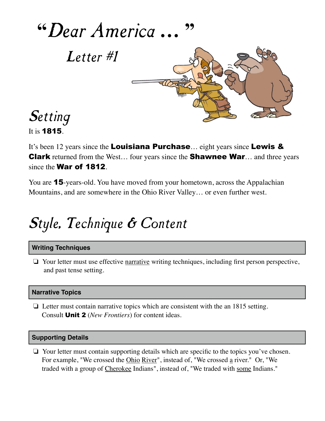

It is **1815**.

It's been 12 years since the **Louisiana Purchase**... eight years since **Lewis & Clark** returned from the West... four years since the **Shawnee War**... and three years since the **War of 1812**.

You are 15-years-old. You have moved from your hometown, across the Appalachian Mountains, and are somewhere in the Ohio River Valley… or even further west.

# Style, Technique & Content

### **Writing Techniques**

❏ Your letter must use effective narrative writing techniques, including first person perspective, and past tense setting.

### **Narrative Topics**

❏ Letter must contain narrative topics which are consistent with the an 1815 setting. Consult Unit 2 (*New Frontiers*) for content ideas.

#### **Supporting Details**

❏ Your letter must contain supporting details which are specific to the topics you've chosen. For example, "We crossed the Ohio River", instead of, "We crossed a river." Or, "We traded with a group of Cherokee Indians", instead of, "We traded with some Indians."